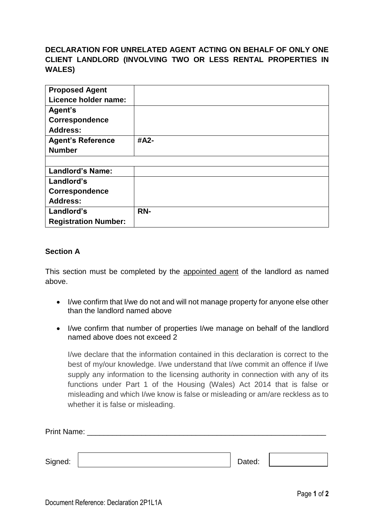## **DECLARATION FOR UNRELATED AGENT ACTING ON BEHALF OF ONLY ONE CLIENT LANDLORD (INVOLVING TWO OR LESS RENTAL PROPERTIES IN WALES)**

| <b>Proposed Agent</b><br>Licence holder name: |      |
|-----------------------------------------------|------|
| Agent's<br>Correspondence                     |      |
| <b>Address:</b>                               |      |
| <b>Agent's Reference</b>                      | #A2- |
| <b>Number</b>                                 |      |
|                                               |      |
| <b>Landlord's Name:</b>                       |      |
| Landlord's                                    |      |
| Correspondence                                |      |
| <b>Address:</b>                               |      |
| Landlord's                                    | RN-  |
| <b>Registration Number:</b>                   |      |

## **Section A**

This section must be completed by the appointed agent of the landlord as named above.

- I/we confirm that I/we do not and will not manage property for anyone else other than the landlord named above
- I/we confirm that number of properties I/we manage on behalf of the landlord named above does not exceed 2

I/we declare that the information contained in this declaration is correct to the best of my/our knowledge. I/we understand that I/we commit an offence if I/we supply any information to the licensing authority in connection with any of its functions under Part 1 of the Housing (Wales) Act 2014 that is false or misleading and which I/we know is false or misleading or am/are reckless as to whether it is false or misleading.

| Print Name: |        |  |
|-------------|--------|--|
|             |        |  |
| Signed:     | Dated: |  |